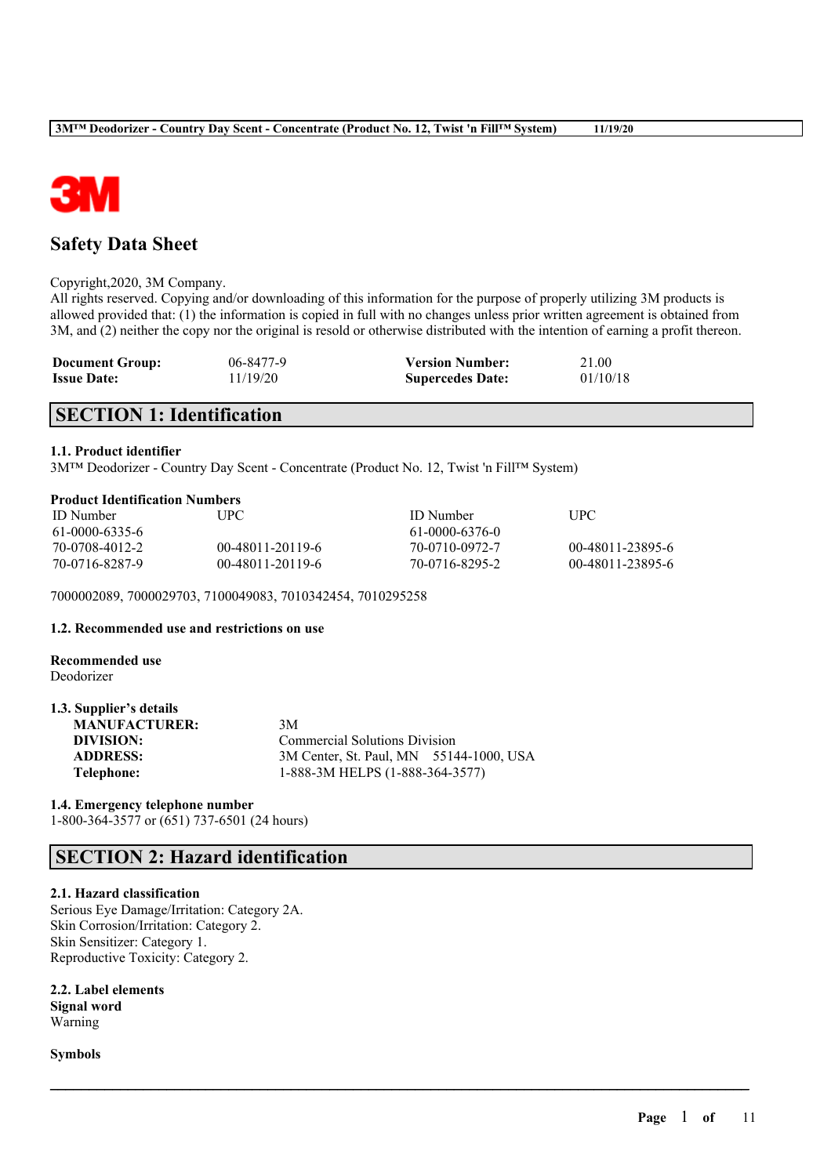

# **Safety Data Sheet**

#### Copyright,2020, 3M Company.

All rights reserved. Copying and/or downloading of this information for the purpose of properly utilizing 3M products is allowed provided that: (1) the information is copied in full with no changes unless prior written agreement is obtained from 3M, and (2) neither the copy nor the original is resold or otherwise distributed with the intention of earning a profit thereon.

| <b>Document Group:</b> | 06-8477-9 | <b>Version Number:</b>  | 21.00    |
|------------------------|-----------|-------------------------|----------|
| <b>Issue Date:</b>     | 11/19/20  | <b>Supercedes Date:</b> | 01/10/18 |

# **SECTION 1: Identification**

## **1.1. Product identifier**

3M™ Deodorizer - Country Day Scent - Concentrate (Product No. 12, Twist 'n Fill™ System)

#### **Product Identification Numbers**

| <b>ID</b> Number | UPC-               | <b>ID</b> Number | <b>TIPC</b>      |
|------------------|--------------------|------------------|------------------|
| 61-0000-6335-6   |                    | 61-0000-6376-0   |                  |
| 70-0708-4012-2   | $00-48011-20119-6$ | 70-0710-0972-7   | 00-48011-23895-6 |
| 70-0716-8287-9   | 00-48011-20119-6   | 70-0716-8295-2   | 00-48011-23895-6 |

 $\mathcal{L}_\mathcal{L} = \mathcal{L}_\mathcal{L} = \mathcal{L}_\mathcal{L} = \mathcal{L}_\mathcal{L} = \mathcal{L}_\mathcal{L} = \mathcal{L}_\mathcal{L} = \mathcal{L}_\mathcal{L} = \mathcal{L}_\mathcal{L} = \mathcal{L}_\mathcal{L} = \mathcal{L}_\mathcal{L} = \mathcal{L}_\mathcal{L} = \mathcal{L}_\mathcal{L} = \mathcal{L}_\mathcal{L} = \mathcal{L}_\mathcal{L} = \mathcal{L}_\mathcal{L} = \mathcal{L}_\mathcal{L} = \mathcal{L}_\mathcal{L}$ 

7000002089, 7000029703, 7100049083, 7010342454, 7010295258

## **1.2. Recommended use and restrictions on use**

#### **Recommended use** Deodorizer

| 1.3. Supplier's details |                                         |  |
|-------------------------|-----------------------------------------|--|
| <b>MANUFACTURER:</b>    | 3M                                      |  |
| DIVISION:               | <b>Commercial Solutions Division</b>    |  |
| <b>ADDRESS:</b>         | 3M Center, St. Paul, MN 55144-1000, USA |  |
| Telephone:              | 1-888-3M HELPS (1-888-364-3577)         |  |

**1.4. Emergency telephone number**

1-800-364-3577 or (651) 737-6501 (24 hours)

# **SECTION 2: Hazard identification**

#### **2.1. Hazard classification**

Serious Eye Damage/Irritation: Category 2A. Skin Corrosion/Irritation: Category 2. Skin Sensitizer: Category 1. Reproductive Toxicity: Category 2.

**2.2. Label elements Signal word** Warning

**Symbols**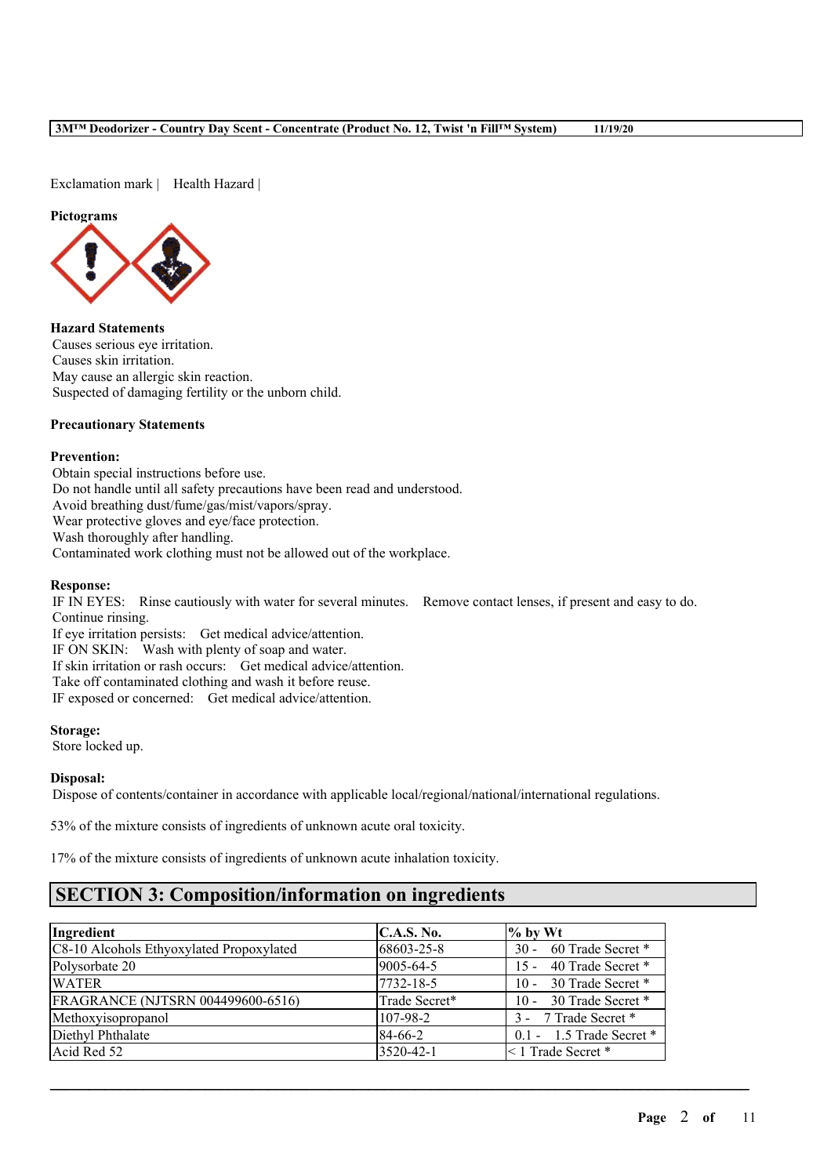Exclamation mark | Health Hazard |

#### **Pictograms**



**Hazard Statements** Causes serious eye irritation. Causes skin irritation. May cause an allergic skin reaction. Suspected of damaging fertility or the unborn child.

# **Precautionary Statements**

#### **Prevention:**

Obtain special instructions before use. Do not handle until all safety precautions have been read and understood. Avoid breathing dust/fume/gas/mist/vapors/spray. Wear protective gloves and eye/face protection. Wash thoroughly after handling. Contaminated work clothing must not be allowed out of the workplace.

#### **Response:**

IF IN EYES: Rinse cautiously with water for several minutes. Remove contact lenses, if present and easy to do. Continue rinsing.

If eye irritation persists: Get medical advice/attention. IF ON SKIN: Wash with plenty of soap and water. If skin irritation or rash occurs: Get medical advice/attention. Take off contaminated clothing and wash it before reuse. IF exposed or concerned: Get medical advice/attention.

### **Storage:**

Store locked up.

#### **Disposal:**

Dispose of contents/container in accordance with applicable local/regional/national/international regulations.

53% of the mixture consists of ingredients of unknown acute oral toxicity.

17% of the mixture consists of ingredients of unknown acute inhalation toxicity.

# **SECTION 3: Composition/information on ingredients**

| Ingredient                               | <b>C.A.S. No.</b> | $%$ by Wt                   |
|------------------------------------------|-------------------|-----------------------------|
| C8-10 Alcohols Ethyoxylated Propoxylated | 68603-25-8        | 60 Trade Secret *<br>$30 -$ |
| Polysorbate 20                           | 9005-64-5         | 15 - 40 Trade Secret *      |
| <b>WATER</b>                             | 7732-18-5         | 10 - 30 Trade Secret *      |
| FRAGRANCE (NJTSRN 004499600-6516)        | Trade Secret*     | 10 - 30 Trade Secret *      |
| Methoxyisopropanol                       | 107-98-2          | 3 - 7 Trade Secret *        |
| Diethyl Phthalate                        | 84-66-2           | $0.1 - 1.5$ Trade Secret *  |
| Acid Red 52                              | 3520-42-1         | $\leq$ 1 Trade Secret *     |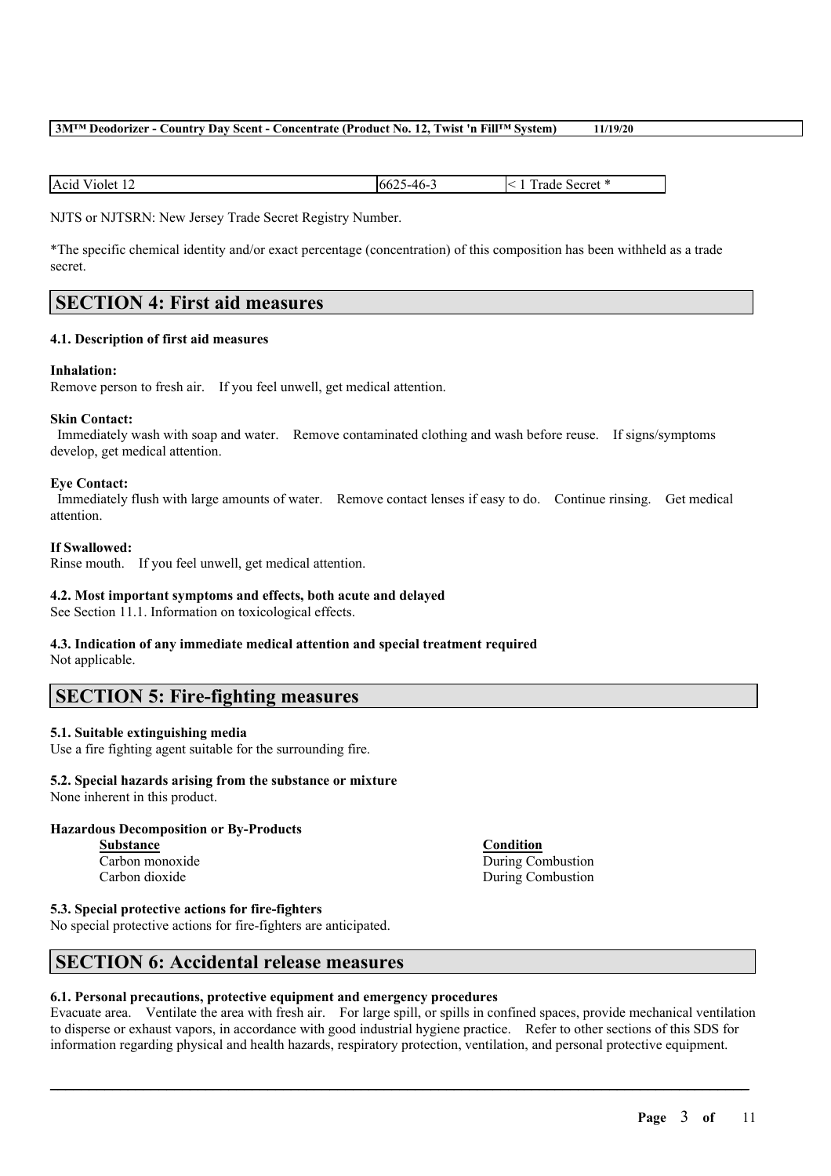| Acid<br>$\sec$ ret *<br>Violet<br>\_4h_<br>$\sim$<br>rade<br>$-66$<br>т.,<br>. |
|--------------------------------------------------------------------------------|
|--------------------------------------------------------------------------------|

NJTS or NJTSRN: New Jersey Trade Secret Registry Number.

\*The specific chemical identity and/or exact percentage (concentration) of this composition has been withheld as a trade secret.

# **SECTION 4: First aid measures**

#### **4.1. Description of first aid measures**

#### **Inhalation:**

Remove person to fresh air. If you feel unwell, get medical attention.

#### **Skin Contact:**

Immediately wash with soap and water. Remove contaminated clothing and wash before reuse. If signs/symptoms develop, get medical attention.

#### **Eye Contact:**

Immediately flush with large amounts of water. Remove contact lenses if easy to do. Continue rinsing. Get medical attention.

#### **If Swallowed:**

Rinse mouth. If you feel unwell, get medical attention.

### **4.2. Most important symptoms and effects, both acute and delayed**

See Section 11.1. Information on toxicological effects.

# **4.3. Indication of any immediate medical attention and special treatment required**

Not applicable.

# **SECTION 5: Fire-fighting measures**

## **5.1. Suitable extinguishing media**

Use a fire fighting agent suitable for the surrounding fire.

# **5.2. Special hazards arising from the substance or mixture**

None inherent in this product.

## **Hazardous Decomposition or By-Products**

**Substance Condition** Carbon dioxide During Combustion

Carbon monoxide During Combustion

**5.3. Special protective actions for fire-fighters**

No special protective actions for fire-fighters are anticipated.

# **SECTION 6: Accidental release measures**

## **6.1. Personal precautions, protective equipment and emergency procedures**

Evacuate area. Ventilate the area with fresh air. For large spill, or spills in confined spaces, provide mechanical ventilation to disperse or exhaust vapors, in accordance with good industrial hygiene practice. Refer to other sections of this SDS for information regarding physical and health hazards, respiratory protection, ventilation, and personal protective equipment.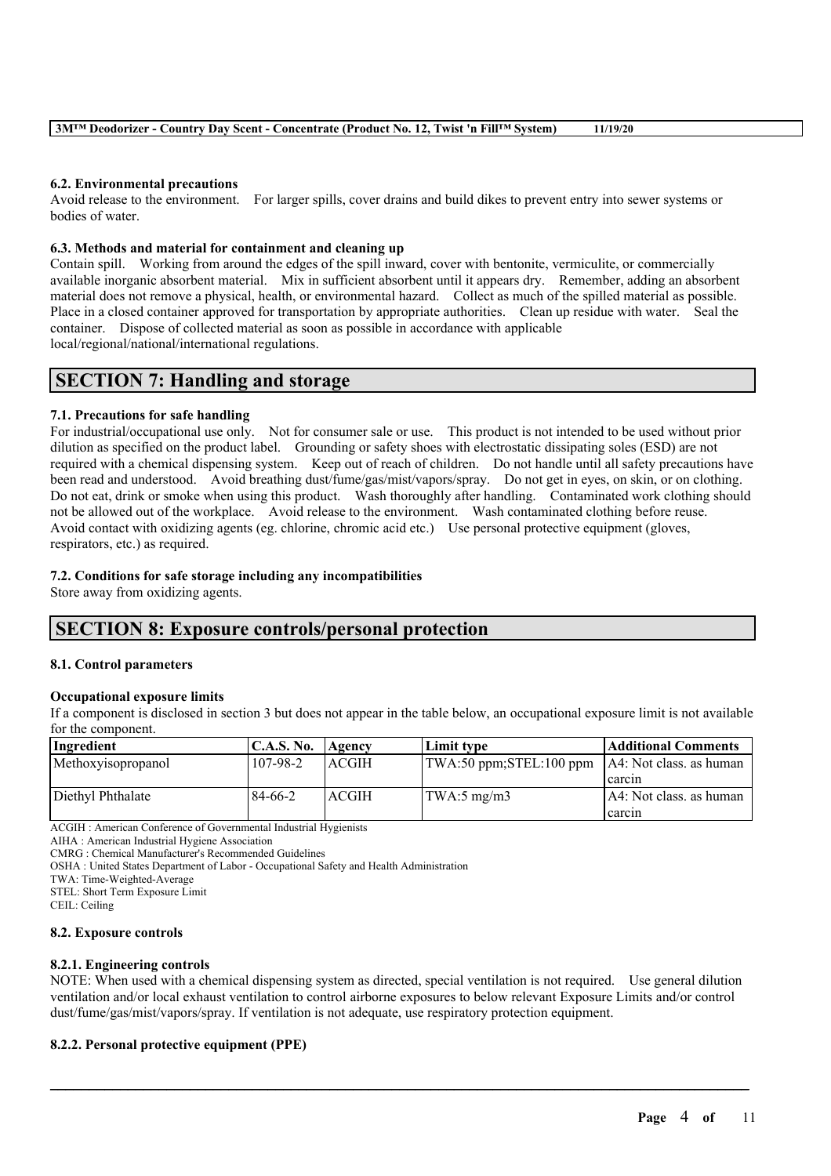#### **6.2. Environmental precautions**

Avoid release to the environment. For larger spills, cover drains and build dikes to prevent entry into sewer systems or bodies of water.

#### **6.3. Methods and material for containment and cleaning up**

Contain spill. Working from around the edges of the spill inward, cover with bentonite, vermiculite, or commercially available inorganic absorbent material. Mix in sufficient absorbent until it appears dry. Remember, adding an absorbent material does not remove a physical, health, or environmental hazard. Collect as much of the spilled material as possible. Place in a closed container approved for transportation by appropriate authorities. Clean up residue with water. Seal the container. Dispose of collected material as soon as possible in accordance with applicable local/regional/national/international regulations.

# **SECTION 7: Handling and storage**

## **7.1. Precautions for safe handling**

For industrial/occupational use only. Not for consumer sale or use. This product is not intended to be used without prior dilution as specified on the product label. Grounding or safety shoes with electrostatic dissipating soles (ESD) are not required with a chemical dispensing system. Keep out of reach of children. Do not handle until all safety precautions have been read and understood. Avoid breathing dust/fume/gas/mist/vapors/spray. Do not get in eyes, on skin, or on clothing. Do not eat, drink or smoke when using this product. Wash thoroughly after handling. Contaminated work clothing should not be allowed out of the workplace. Avoid release to the environment. Wash contaminated clothing before reuse. Avoid contact with oxidizing agents (eg. chlorine, chromic acid etc.) Use personal protective equipment (gloves, respirators, etc.) as required.

#### **7.2. Conditions for safe storage including any incompatibilities**

Store away from oxidizing agents.

# **SECTION 8: Exposure controls/personal protection**

#### **8.1. Control parameters**

#### **Occupational exposure limits**

If a component is disclosed in section 3 but does not appear in the table below, an occupational exposure limit is not available for the component.

| Ingredient         | <b>C.A.S. No.</b> | Agency       | Limit type                                                         | Additional Comments      |
|--------------------|-------------------|--------------|--------------------------------------------------------------------|--------------------------|
| Methoxyisopropanol | 107-98-2          | <b>ACGIH</b> | $\text{TWA:50 ppm};$ STEL:100 ppm $\text{AA}:$ Not class. as human |                          |
|                    |                   |              |                                                                    | l carcin                 |
| Diethyl Phthalate  | 84-66-2           | <b>ACGIH</b> | TWA:5mg/m3                                                         | IA4: Not class, as human |
|                    |                   |              |                                                                    | carcin                   |

ACGIH : American Conference of Governmental Industrial Hygienists

AIHA : American Industrial Hygiene Association

CMRG : Chemical Manufacturer's Recommended Guidelines

OSHA : United States Department of Labor - Occupational Safety and Health Administration

TWA: Time-Weighted-Average

STEL: Short Term Exposure Limit

CEIL: Ceiling

#### **8.2. Exposure controls**

#### **8.2.1. Engineering controls**

NOTE: When used with a chemical dispensing system as directed, special ventilation is not required. Use general dilution ventilation and/or local exhaust ventilation to control airborne exposures to below relevant Exposure Limits and/or control dust/fume/gas/mist/vapors/spray. If ventilation is not adequate, use respiratory protection equipment.

 $\mathcal{L}_\mathcal{L} = \mathcal{L}_\mathcal{L} = \mathcal{L}_\mathcal{L} = \mathcal{L}_\mathcal{L} = \mathcal{L}_\mathcal{L} = \mathcal{L}_\mathcal{L} = \mathcal{L}_\mathcal{L} = \mathcal{L}_\mathcal{L} = \mathcal{L}_\mathcal{L} = \mathcal{L}_\mathcal{L} = \mathcal{L}_\mathcal{L} = \mathcal{L}_\mathcal{L} = \mathcal{L}_\mathcal{L} = \mathcal{L}_\mathcal{L} = \mathcal{L}_\mathcal{L} = \mathcal{L}_\mathcal{L} = \mathcal{L}_\mathcal{L}$ 

## **8.2.2. Personal protective equipment (PPE)**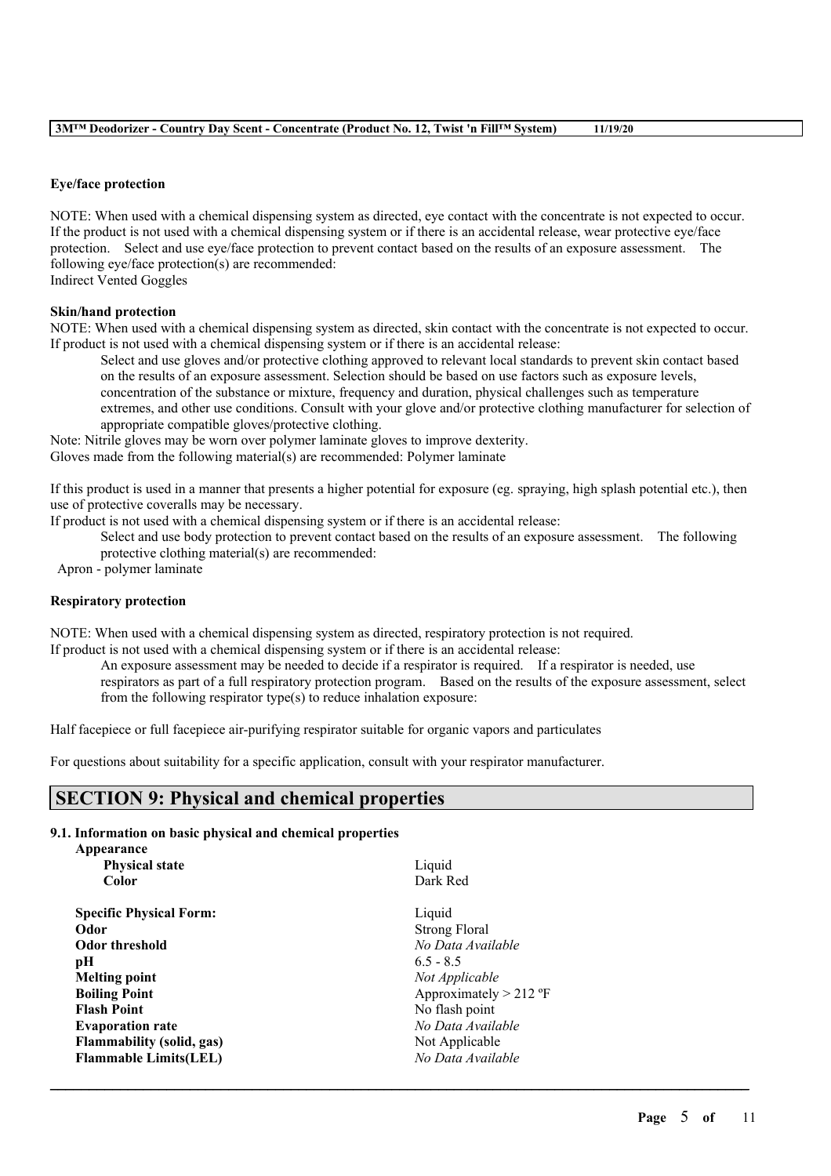#### **Eye/face protection**

NOTE: When used with a chemical dispensing system as directed, eye contact with the concentrate is not expected to occur. If the product is not used with a chemical dispensing system or if there is an accidental release, wear protective eye/face protection. Select and use eye/face protection to prevent contact based on the results of an exposure assessment. The following eye/face protection(s) are recommended: Indirect Vented Goggles

#### **Skin/hand protection**

NOTE: When used with a chemical dispensing system as directed, skin contact with the concentrate is not expected to occur. If product is not used with a chemical dispensing system or if there is an accidental release:

Select and use gloves and/or protective clothing approved to relevant local standards to prevent skin contact based on the results of an exposure assessment. Selection should be based on use factors such as exposure levels, concentration of the substance or mixture, frequency and duration, physical challenges such as temperature extremes, and other use conditions. Consult with your glove and/or protective clothing manufacturer for selection of appropriate compatible gloves/protective clothing.

Note: Nitrile gloves may be worn over polymer laminate gloves to improve dexterity. Gloves made from the following material(s) are recommended: Polymer laminate

If this product is used in a manner that presents a higher potential for exposure (eg. spraying, high splash potential etc.), then use of protective coveralls may be necessary.

If product is not used with a chemical dispensing system or if there is an accidental release:

Select and use body protection to prevent contact based on the results of an exposure assessment. The following protective clothing material(s) are recommended:

Apron - polymer laminate

# **Respiratory protection**

NOTE: When used with a chemical dispensing system as directed, respiratory protection is not required.

If product is not used with a chemical dispensing system or if there is an accidental release:

An exposure assessment may be needed to decide if a respirator is required. If a respirator is needed, use respirators as part of a full respiratory protection program. Based on the results of the exposure assessment, select

 $\mathcal{L}_\mathcal{L} = \mathcal{L}_\mathcal{L} = \mathcal{L}_\mathcal{L} = \mathcal{L}_\mathcal{L} = \mathcal{L}_\mathcal{L} = \mathcal{L}_\mathcal{L} = \mathcal{L}_\mathcal{L} = \mathcal{L}_\mathcal{L} = \mathcal{L}_\mathcal{L} = \mathcal{L}_\mathcal{L} = \mathcal{L}_\mathcal{L} = \mathcal{L}_\mathcal{L} = \mathcal{L}_\mathcal{L} = \mathcal{L}_\mathcal{L} = \mathcal{L}_\mathcal{L} = \mathcal{L}_\mathcal{L} = \mathcal{L}_\mathcal{L}$ 

from the following respirator type(s) to reduce inhalation exposure:

Half facepiece or full facepiece air-purifying respirator suitable for organic vapors and particulates

For questions about suitability for a specific application, consult with your respirator manufacturer.

# **SECTION 9: Physical and chemical properties**

#### **9.1. Information on basic physical and chemical properties**

| Appearance                       |                          |
|----------------------------------|--------------------------|
| <b>Physical state</b>            | Liquid                   |
| Color                            | Dark Red                 |
| <b>Specific Physical Form:</b>   | Liquid                   |
| Odor                             | <b>Strong Floral</b>     |
| <b>Odor threshold</b>            | No Data Available        |
| рH                               | $6.5 - 8.5$              |
| <b>Melting point</b>             | Not Applicable           |
| <b>Boiling Point</b>             | Approximately $> 212$ °F |
| <b>Flash Point</b>               | No flash point           |
| <b>Evaporation rate</b>          | No Data Available        |
| <b>Flammability (solid, gas)</b> | Not Applicable           |
| <b>Flammable Limits(LEL)</b>     | No Data Available        |
|                                  |                          |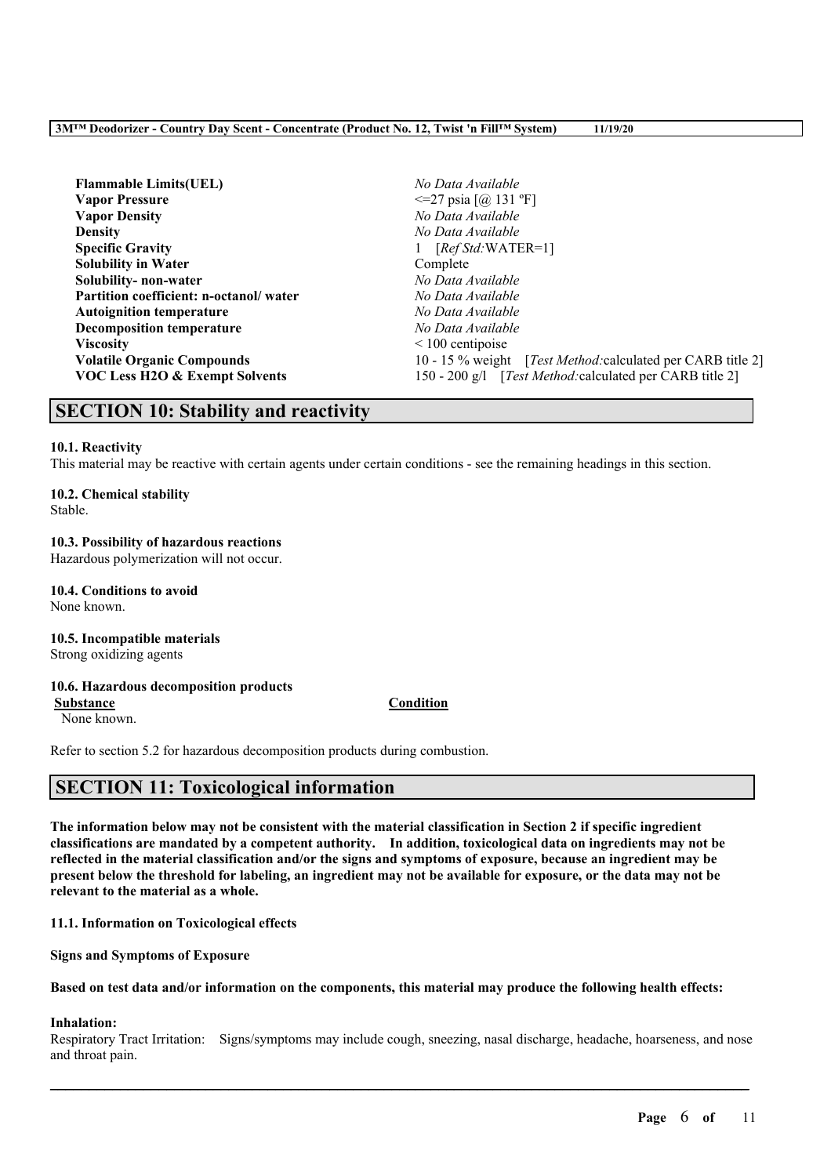| <b>Flammable Limits(UEL)</b>           | No Data Available                                                   |  |  |
|----------------------------------------|---------------------------------------------------------------------|--|--|
| <b>Vapor Pressure</b>                  | $\leq$ 27 psia [@ 131 °F]                                           |  |  |
| <b>Vapor Density</b>                   | No Data Available                                                   |  |  |
| <b>Density</b>                         | No Data Available                                                   |  |  |
| <b>Specific Gravity</b>                | $[RefStd:WATER=1]$                                                  |  |  |
| <b>Solubility in Water</b>             | Complete                                                            |  |  |
| Solubility- non-water                  | No Data Available                                                   |  |  |
| Partition coefficient: n-octanol/water | No Data Available                                                   |  |  |
| <b>Autoignition temperature</b>        | No Data Available                                                   |  |  |
| <b>Decomposition temperature</b>       | No Data Available                                                   |  |  |
| <b>Viscosity</b>                       | $\leq 100$ centipoise                                               |  |  |
| <b>Volatile Organic Compounds</b>      | 10 - 15 % weight [ <i>Test Method:calculated per CARB title 2</i> ] |  |  |
| VOC Less H2O & Exempt Solvents         | 150 - 200 g/l [Test Method: calculated per CARB title 2]            |  |  |

# **SECTION 10: Stability and reactivity**

## **10.1. Reactivity**

This material may be reactive with certain agents under certain conditions - see the remaining headings in this section.

# **10.2. Chemical stability**

Stable.

# **10.3. Possibility of hazardous reactions**

Hazardous polymerization will not occur.

#### **10.4. Conditions to avoid** None known.

# **10.5. Incompatible materials**

Strong oxidizing agents

## **10.6. Hazardous decomposition products**

**Substance Condition**

None known.

Refer to section 5.2 for hazardous decomposition products during combustion.

# **SECTION 11: Toxicological information**

The information below may not be consistent with the material classification in Section 2 if specific ingredient **classifications are mandated by a competent authority. In addition, toxicological data on ingredients may not be** reflected in the material classification and/or the signs and symptoms of exposure, because an ingredient may be present below the threshold for labeling, an ingredient may not be available for exposure, or the data may not be **relevant to the material as a whole.**

**11.1. Information on Toxicological effects**

**Signs and Symptoms of Exposure**

Based on test data and/or information on the components, this material may produce the following health effects:

## **Inhalation:**

Respiratory Tract Irritation: Signs/symptoms may include cough, sneezing, nasal discharge, headache, hoarseness, and nose and throat pain.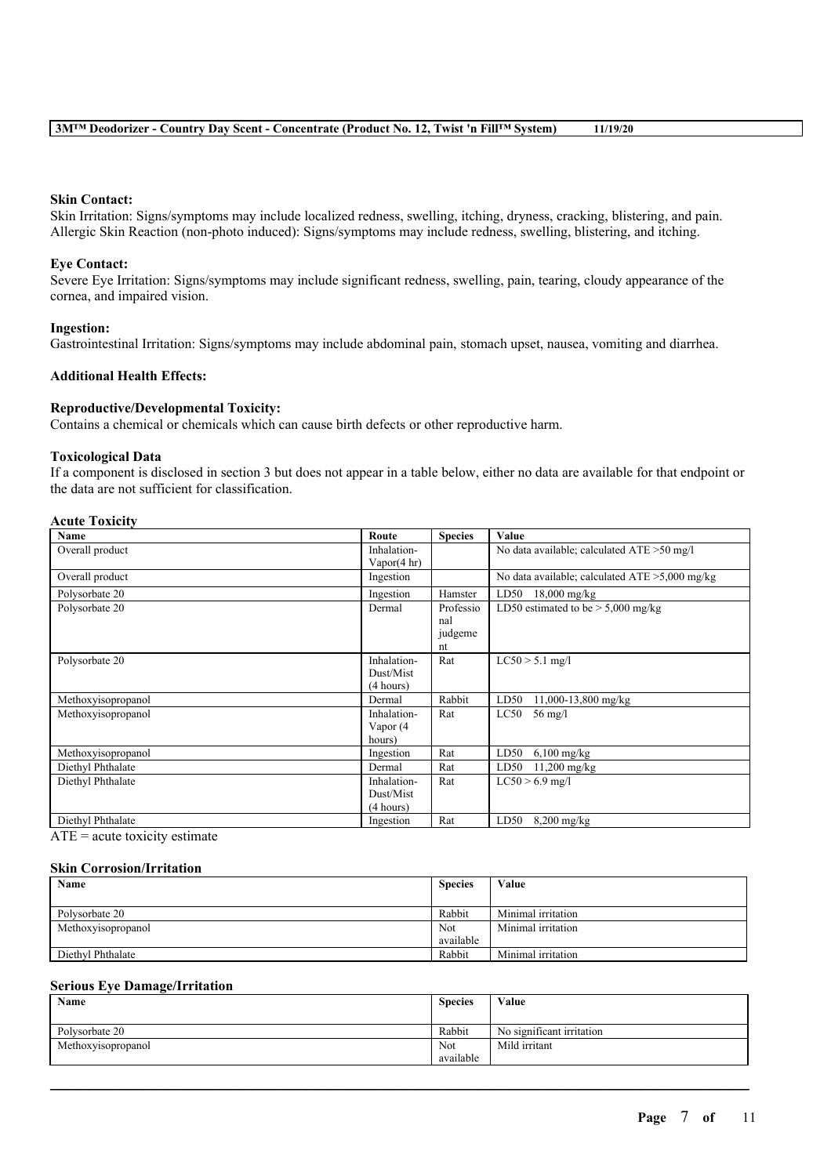#### **Skin Contact:**

Skin Irritation: Signs/symptoms may include localized redness, swelling, itching, dryness, cracking, blistering, and pain. Allergic Skin Reaction (non-photo induced): Signs/symptoms may include redness, swelling, blistering, and itching.

#### **Eye Contact:**

Severe Eye Irritation: Signs/symptoms may include significant redness, swelling, pain, tearing, cloudy appearance of the cornea, and impaired vision.

#### **Ingestion:**

Gastrointestinal Irritation: Signs/symptoms may include abdominal pain, stomach upset, nausea, vomiting and diarrhea.

#### **Additional Health Effects:**

#### **Reproductive/Developmental Toxicity:**

Contains a chemical or chemicals which can cause birth defects or other reproductive harm.

#### **Toxicological Data**

If a component is disclosed in section 3 but does not appear in a table below, either no data are available for that endpoint or the data are not sufficient for classification.

#### **Acute Toxicity**

| Name               | Route       | <b>Species</b> | Value                                             |
|--------------------|-------------|----------------|---------------------------------------------------|
| Overall product    | Inhalation- |                | No data available; calculated ATE > 50 mg/l       |
|                    | Vapor(4 hr) |                |                                                   |
| Overall product    | Ingestion   |                | No data available; calculated $ATE > 5,000$ mg/kg |
| Polysorbate 20     | Ingestion   | Hamster        | LD50<br>$18,000$ mg/kg                            |
| Polysorbate 20     | Dermal      | Professio      | LD50 estimated to be $> 5,000$ mg/kg              |
|                    |             | nal            |                                                   |
|                    |             | judgeme        |                                                   |
|                    |             | nt             |                                                   |
| Polysorbate 20     | Inhalation- | Rat            | $LC50 > 5.1$ mg/l                                 |
|                    | Dust/Mist   |                |                                                   |
|                    | (4 hours)   |                |                                                   |
| Methoxyisopropanol | Dermal      | Rabbit         | LD50<br>11,000-13,800 mg/kg                       |
| Methoxyisopropanol | Inhalation- | Rat            | $56 \text{ mg/l}$<br>LC50                         |
|                    | Vapor (4    |                |                                                   |
|                    | hours)      |                |                                                   |
| Methoxyisopropanol | Ingestion   | Rat            | $6,100$ mg/kg<br>LD50                             |
| Diethyl Phthalate  | Dermal      | Rat            | LD50<br>$11,200 \text{ mg/kg}$                    |
| Diethyl Phthalate  | Inhalation- | Rat            | $LC50 > 6.9$ mg/l                                 |
|                    | Dust/Mist   |                |                                                   |
|                    | (4 hours)   |                |                                                   |
| Diethyl Phthalate  | Ingestion   | Rat            | LD50<br>$8,200$ mg/kg                             |

 $ATE = acute$  toxicity estimate

## **Skin Corrosion/Irritation**

| Name               | <b>Species</b> | Value              |
|--------------------|----------------|--------------------|
|                    |                |                    |
| Polysorbate 20     | Rabbit         | Minimal irritation |
| Methoxyisopropanol | Not            | Minimal irritation |
|                    | available      |                    |
| Diethyl Phthalate  | Rabbit         | Minimal irritation |

#### **Serious Eye Damage/Irritation**

| Name               | <b>Species</b> | Value                     |
|--------------------|----------------|---------------------------|
|                    |                |                           |
| Polysorbate 20     | Rabbit         | No significant irritation |
| Methoxyisopropanol | Not            | Mild irritant             |
|                    | available      |                           |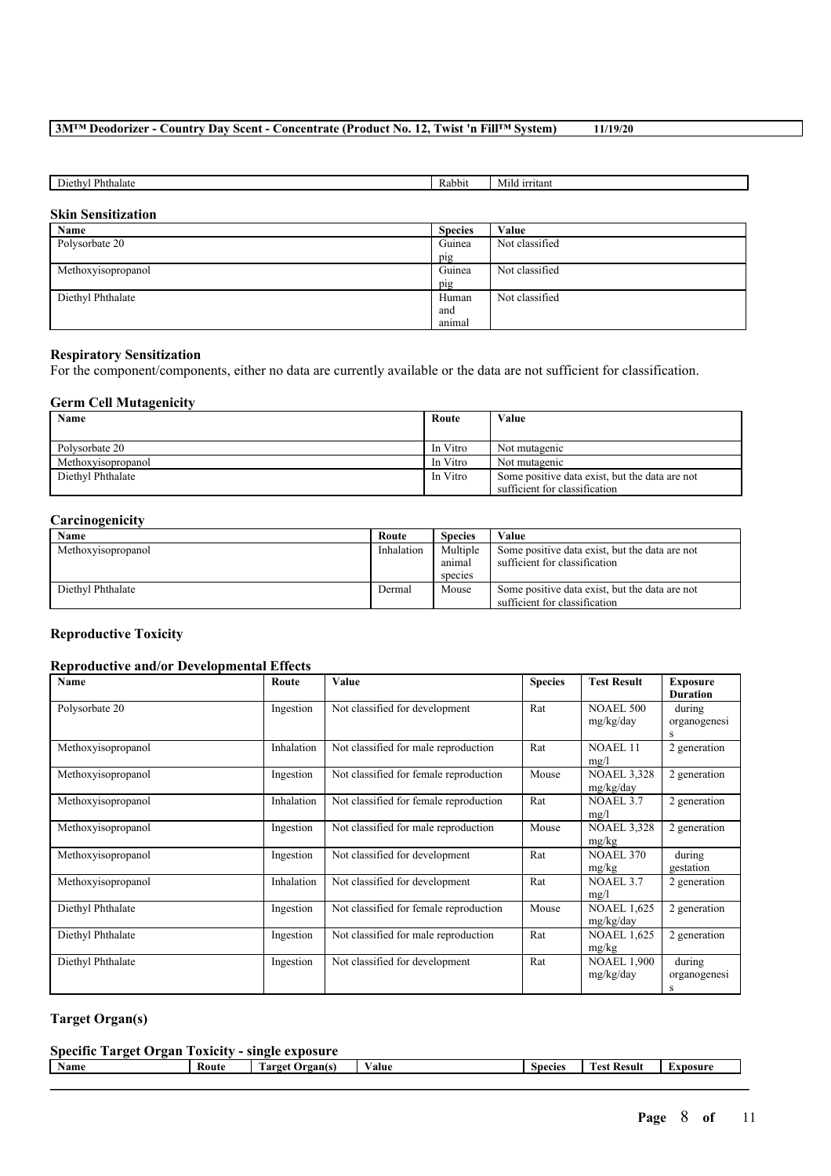| <b></b><br>Phthalat<br>nethy | .abbit<br>к | $ -$<br>rıtant<br>M1C |
|------------------------------|-------------|-----------------------|

# **Skin Sensitization**

| Name               | <b>Species</b> | Value          |
|--------------------|----------------|----------------|
| Polysorbate 20     | Guinea         | Not classified |
|                    | pig            |                |
| Methoxyisopropanol | Guinea         | Not classified |
|                    | pig            |                |
| Diethyl Phthalate  | Human          | Not classified |
|                    | and            |                |
|                    | animal         |                |

#### **Respiratory Sensitization**

For the component/components, either no data are currently available or the data are not sufficient for classification.

## **Germ Cell Mutagenicity**

| Name               | Route    | Value                                          |
|--------------------|----------|------------------------------------------------|
|                    |          |                                                |
| Polysorbate 20     | In Vitro | Not mutagenic                                  |
| Methoxyisopropanol | In Vitro | Not mutagenic                                  |
| Diethyl Phthalate  | In Vitro | Some positive data exist, but the data are not |
|                    |          | sufficient for classification                  |

## **Carcinogenicity**

| Name               | Route      | <b>Species</b> | Value                                          |
|--------------------|------------|----------------|------------------------------------------------|
| Methoxyisopropanol | Inhalation | Multiple       | Some positive data exist, but the data are not |
|                    |            | animal         | sufficient for classification                  |
|                    |            | species        |                                                |
| Diethyl Phthalate  | Dermal     | Mouse          | Some positive data exist, but the data are not |
|                    |            |                | sufficient for classification                  |

# **Reproductive Toxicity**

## **Reproductive and/or Developmental Effects**

| Name               | Route      | Value                                  | <b>Species</b> | <b>Test Result</b>              | <b>Exposure</b><br><b>Duration</b> |
|--------------------|------------|----------------------------------------|----------------|---------------------------------|------------------------------------|
| Polysorbate 20     | Ingestion  | Not classified for development         | Rat            | <b>NOAEL 500</b><br>mg/kg/day   | during<br>organogenesi<br>S        |
| Methoxyisopropanol | Inhalation | Not classified for male reproduction   | Rat            | <b>NOAEL 11</b><br>mg/l         | 2 generation                       |
| Methoxyisopropanol | Ingestion  | Not classified for female reproduction | Mouse          | <b>NOAEL 3,328</b><br>mg/kg/day | 2 generation                       |
| Methoxyisopropanol | Inhalation | Not classified for female reproduction | Rat            | NOAEL 3.7<br>mg/l               | 2 generation                       |
| Methoxyisopropanol | Ingestion  | Not classified for male reproduction   | Mouse          | <b>NOAEL 3,328</b><br>mg/kg     | 2 generation                       |
| Methoxyisopropanol | Ingestion  | Not classified for development         | Rat            | <b>NOAEL 370</b><br>mg/kg       | during<br>gestation                |
| Methoxyisopropanol | Inhalation | Not classified for development         | Rat            | NOAEL 3.7<br>mg/l               | 2 generation                       |
| Diethyl Phthalate  | Ingestion  | Not classified for female reproduction | Mouse          | <b>NOAEL 1,625</b><br>mg/kg/day | 2 generation                       |
| Diethyl Phthalate  | Ingestion  | Not classified for male reproduction   | Rat            | <b>NOAEL 1,625</b><br>mg/kg     | 2 generation                       |
| Diethyl Phthalate  | Ingestion  | Not classified for development         | Rat            | <b>NOAEL 1,900</b><br>mg/kg/day | during<br>organogenesi<br>s        |

# **Target Organ(s)**

| <b>Specific Target Organ Toxicity - single exposure</b> |       |                 |       |         |                    |          |
|---------------------------------------------------------|-------|-----------------|-------|---------|--------------------|----------|
| Name                                                    | Route | Target Organ(s) | Value | Species | <b>Test Result</b> | Exposure |
|                                                         |       |                 |       |         |                    |          |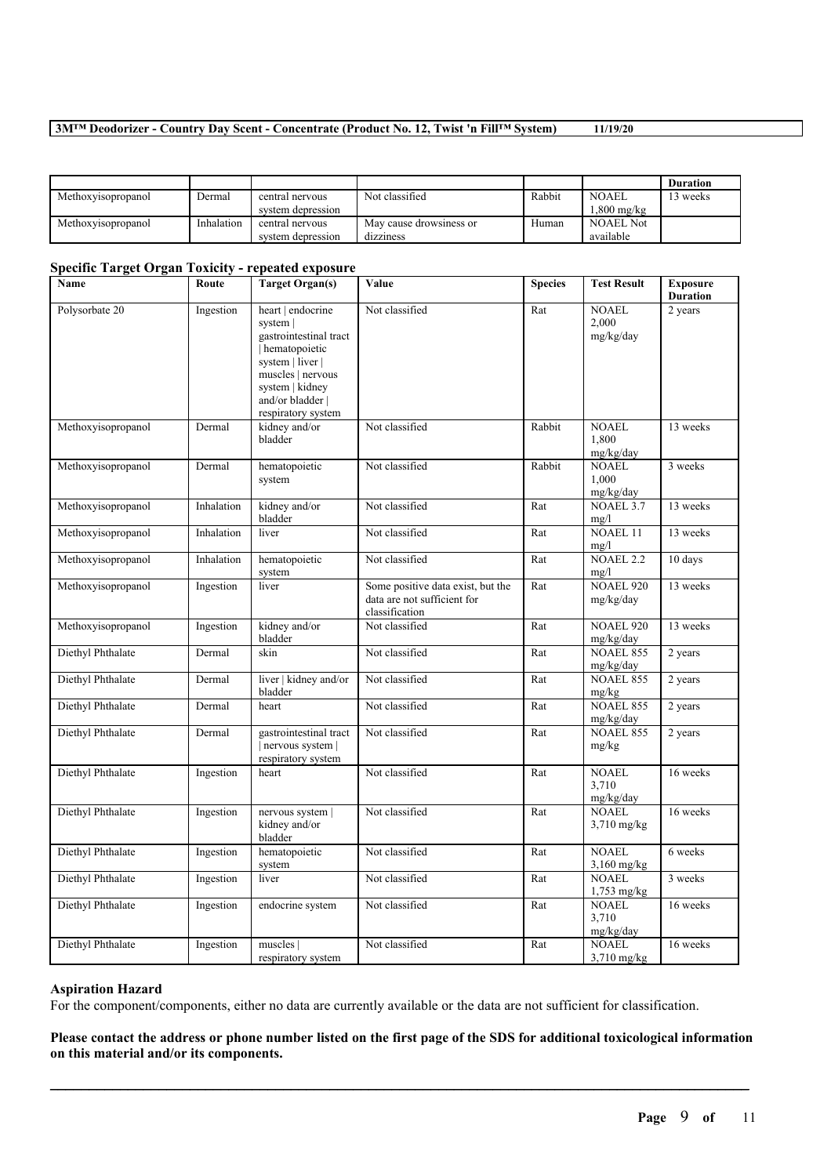|                    |            |                   |                         |        |                  | <b>Duration</b> |
|--------------------|------------|-------------------|-------------------------|--------|------------------|-----------------|
| Methoxyisopropanol | Dermal     | central nervous   | Not classified          | Rabbit | <b>NOAEL</b>     | 3 weeks         |
|                    |            | system depression |                         |        | $.800$ mg/kg     |                 |
| Methoxyisopropanol | Inhalation | central nervous   | May cause drowsiness or | Human  | <b>NOAEL Not</b> |                 |
|                    |            | system depression | dizziness               |        | available        |                 |

# **Specific Target Organ Toxicity - repeated exposure**

| Name               | Route      | <b>Target Organ(s)</b>                                                                                                                                                         | Value                                                                              | <b>Species</b> | <b>Test Result</b>                 | <b>Exposure</b><br><b>Duration</b> |
|--------------------|------------|--------------------------------------------------------------------------------------------------------------------------------------------------------------------------------|------------------------------------------------------------------------------------|----------------|------------------------------------|------------------------------------|
| Polysorbate 20     | Ingestion  | heart   endocrine<br>system  <br>gastrointestinal tract<br>hematopoietic<br>system   liver  <br>muscles   nervous<br>system   kidney<br>and/or bladder  <br>respiratory system | Not classified                                                                     | Rat            | NOAEL<br>2,000<br>mg/kg/day        | 2 years                            |
| Methoxyisopropanol | Dermal     | kidney and/or<br>bladder                                                                                                                                                       | Not classified                                                                     | Rabbit         | <b>NOAEL</b><br>1,800<br>mg/kg/day | 13 weeks                           |
| Methoxyisopropanol | Dermal     | hematopoietic<br>system                                                                                                                                                        | Not classified                                                                     | Rabbit         | <b>NOAEL</b><br>1,000<br>mg/kg/day | 3 weeks                            |
| Methoxyisopropanol | Inhalation | kidney and/or<br>bladder                                                                                                                                                       | Not classified                                                                     | Rat            | <b>NOAEL 3.7</b><br>mg/l           | 13 weeks                           |
| Methoxyisopropanol | Inhalation | liver                                                                                                                                                                          | Not classified                                                                     | Rat            | <b>NOAEL 11</b><br>mg/l            | 13 weeks                           |
| Methoxyisopropanol | Inhalation | hematopoietic<br>system                                                                                                                                                        | Not classified                                                                     | Rat            | <b>NOAEL 2.2</b><br>mg/l           | 10 days                            |
| Methoxyisopropanol | Ingestion  | liver                                                                                                                                                                          | Some positive data exist, but the<br>data are not sufficient for<br>classification | Rat            | <b>NOAEL 920</b><br>mg/kg/day      | 13 weeks                           |
| Methoxyisopropanol | Ingestion  | kidney and/or<br>bladder                                                                                                                                                       | Not classified                                                                     | Rat            | <b>NOAEL 920</b><br>mg/kg/day      | 13 weeks                           |
| Diethyl Phthalate  | Dermal     | skin                                                                                                                                                                           | Not classified                                                                     | Rat            | <b>NOAEL 855</b><br>mg/kg/day      | 2 years                            |
| Diethyl Phthalate  | Dermal     | liver   kidney and/or<br>bladder                                                                                                                                               | Not classified                                                                     | Rat            | <b>NOAEL 855</b><br>mg/kg          | 2 years                            |
| Diethyl Phthalate  | Dermal     | heart                                                                                                                                                                          | Not classified                                                                     | Rat            | <b>NOAEL 855</b><br>mg/kg/day      | 2 years                            |
| Diethyl Phthalate  | Dermal     | gastrointestinal tract<br>nervous system  <br>respiratory system                                                                                                               | Not classified                                                                     | Rat            | <b>NOAEL 855</b><br>mg/kg          | 2 years                            |
| Diethyl Phthalate  | Ingestion  | heart                                                                                                                                                                          | Not classified                                                                     | Rat            | <b>NOAEL</b><br>3,710<br>mg/kg/day | 16 weeks                           |
| Diethyl Phthalate  | Ingestion  | nervous system  <br>kidney and/or<br>bladder                                                                                                                                   | Not classified                                                                     | Rat            | <b>NOAEL</b><br>3,710 mg/kg        | 16 weeks                           |
| Diethyl Phthalate  | Ingestion  | hematopoietic<br>system                                                                                                                                                        | Not classified                                                                     | Rat            | <b>NOAEL</b><br>3,160 mg/kg        | 6 weeks                            |
| Diethyl Phthalate  | Ingestion  | liver                                                                                                                                                                          | Not classified                                                                     | Rat            | <b>NOAEL</b><br>1,753 mg/kg        | 3 weeks                            |
| Diethyl Phthalate  | Ingestion  | endocrine system                                                                                                                                                               | Not classified                                                                     | Rat            | <b>NOAEL</b><br>3,710<br>mg/kg/day | 16 weeks                           |
| Diethyl Phthalate  | Ingestion  | muscles  <br>respiratory system                                                                                                                                                | Not classified                                                                     | Rat            | <b>NOAEL</b><br>$3,710$ mg/kg      | 16 weeks                           |

#### **Aspiration Hazard**

For the component/components, either no data are currently available or the data are not sufficient for classification.

Please contact the address or phone number listed on the first page of the SDS for additional toxicological information **on this material and/or its components.**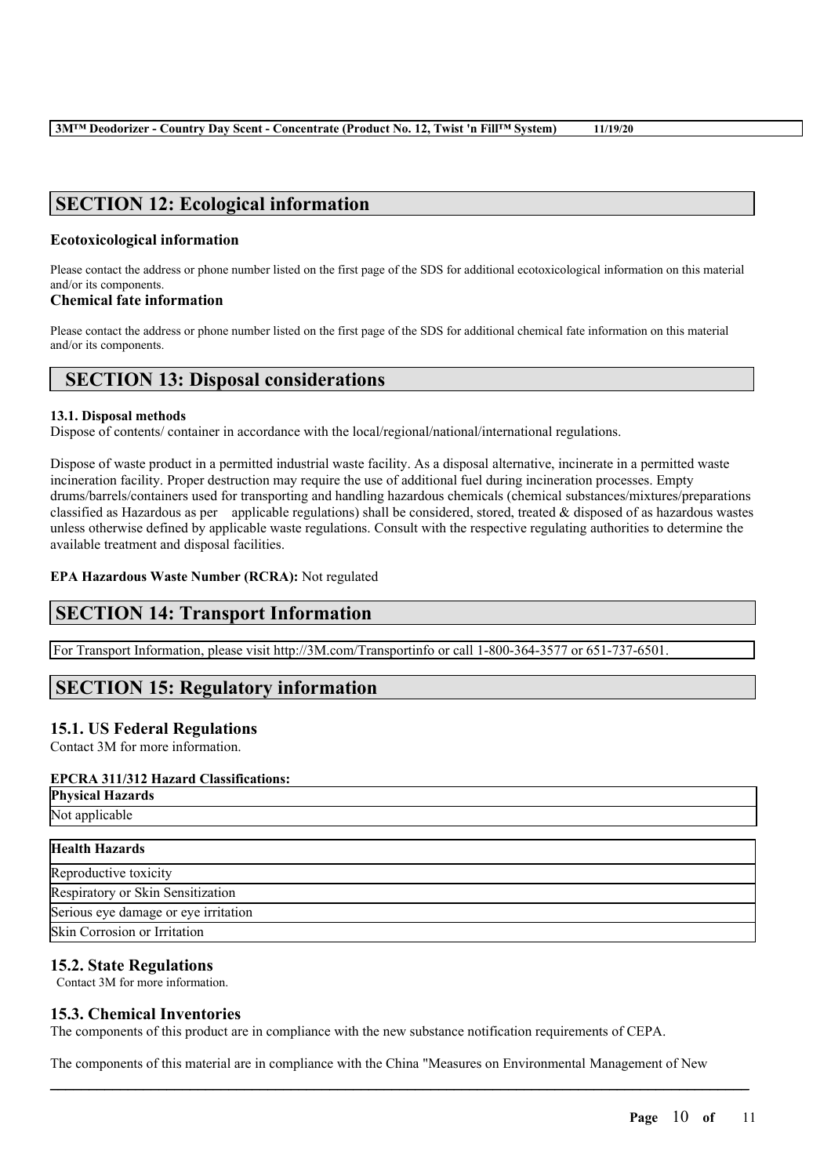# **SECTION 12: Ecological information**

# **Ecotoxicological information**

Please contact the address or phone number listed on the first page of the SDS for additional ecotoxicological information on this material and/or its components.

# **Chemical fate information**

Please contact the address or phone number listed on the first page of the SDS for additional chemical fate information on this material and/or its components.

# **SECTION 13: Disposal considerations**

## **13.1. Disposal methods**

Dispose of contents/ container in accordance with the local/regional/national/international regulations.

Dispose of waste product in a permitted industrial waste facility. As a disposal alternative, incinerate in a permitted waste incineration facility. Proper destruction may require the use of additional fuel during incineration processes. Empty drums/barrels/containers used for transporting and handling hazardous chemicals (chemical substances/mixtures/preparations classified as Hazardous as per applicable regulations) shall be considered, stored, treated  $\&$  disposed of as hazardous wastes unless otherwise defined by applicable waste regulations. Consult with the respective regulating authorities to determine the available treatment and disposal facilities.

**EPA Hazardous Waste Number (RCRA):** Not regulated

# **SECTION 14: Transport Information**

For Transport Information, please visit http://3M.com/Transportinfo or call 1-800-364-3577 or 651-737-6501.

# **SECTION 15: Regulatory information**

# **15.1. US Federal Regulations**

Contact 3M for more information.

# **EPCRA 311/312 Hazard Classifications:**

| EPUKA 311/312 Hazaru Ulassifications:                               |
|---------------------------------------------------------------------|
| <b>Physical Hazards</b>                                             |
| Not applicable                                                      |
|                                                                     |
| <b>Health Hazards</b>                                               |
| Reproductive toxicity                                               |
| Respiratory or Skin Sensitization                                   |
| $\alpha$ . The same second second second second technology $\alpha$ |

Serious eye damage or eye irritation Skin Corrosion or Irritation

# **15.2. State Regulations**

Contact 3M for more information.

# **15.3. Chemical Inventories**

The components of this product are in compliance with the new substance notification requirements of CEPA.

The components of this material are in compliance with the China "Measures on Environmental Management of New